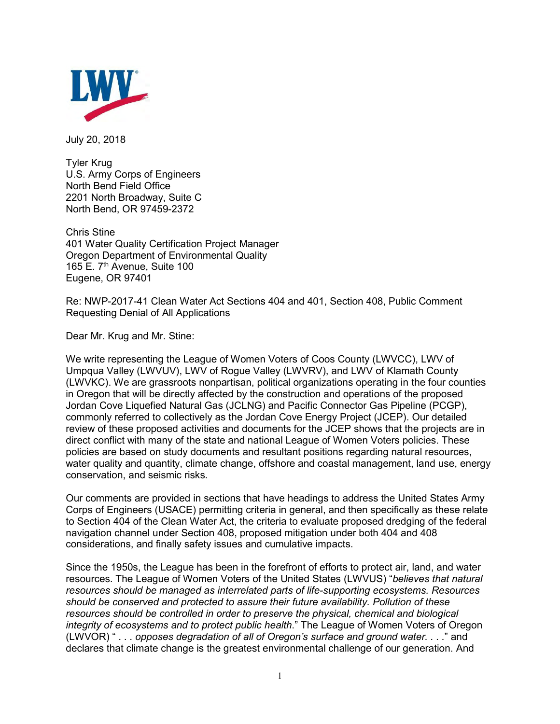

July 20, 2018

Tyler Krug U.S. Army Corps of Engineers North Bend Field Office 2201 North Broadway, Suite C North Bend, OR 97459-2372

Chris Stine 401 Water Quality Certification Project Manager Oregon Department of Environmental Quality 165 E. 7<sup>th</sup> Avenue, Suite 100 Eugene, OR 97401

Re: NWP-2017-41 Clean Water Act Sections 404 and 401, Section 408, Public Comment Requesting Denial of All Applications

Dear Mr. Krug and Mr. Stine:

We write representing the League of Women Voters of Coos County (LWVCC), LWV of Umpqua Valley (LWVUV), LWV of Rogue Valley (LWVRV), and LWV of Klamath County (LWVKC). We are grassroots nonpartisan, political organizations operating in the four counties in Oregon that will be directly affected by the construction and operations of the proposed Jordan Cove Liquefied Natural Gas (JCLNG) and Pacific Connector Gas Pipeline (PCGP), commonly referred to collectively as the Jordan Cove Energy Project (JCEP). Our detailed review of these proposed activities and documents for the JCEP shows that the projects are in direct conflict with many of the state and national League of Women Voters policies. These policies are based on study documents and resultant positions regarding natural resources, water quality and quantity, climate change, offshore and coastal management, land use, energy conservation, and seismic risks.

Our comments are provided in sections that have headings to address the United States Army Corps of Engineers (USACE) permitting criteria in general, and then specifically as these relate to Section 404 of the Clean Water Act, the criteria to evaluate proposed dredging of the federal navigation channel under Section 408, proposed mitigation under both 404 and 408 considerations, and finally safety issues and cumulative impacts.

Since the 1950s, the League has been in the forefront of efforts to protect air, land, and water resources. The League of Women Voters of the United States (LWVUS) "*believes that natural resources should be managed as interrelated parts of life-supporting ecosystems. Resources should be conserved and protected to assure their future availability. Pollution of these resources should be controlled in order to preserve the physical, chemical and biological integrity of ecosystems and to protect public health*." The League of Women Voters of Oregon (LWVOR) " . . . *opposes degradation of all of Oregon's surface and ground water. . . .*" and declares that climate change is the greatest environmental challenge of our generation. And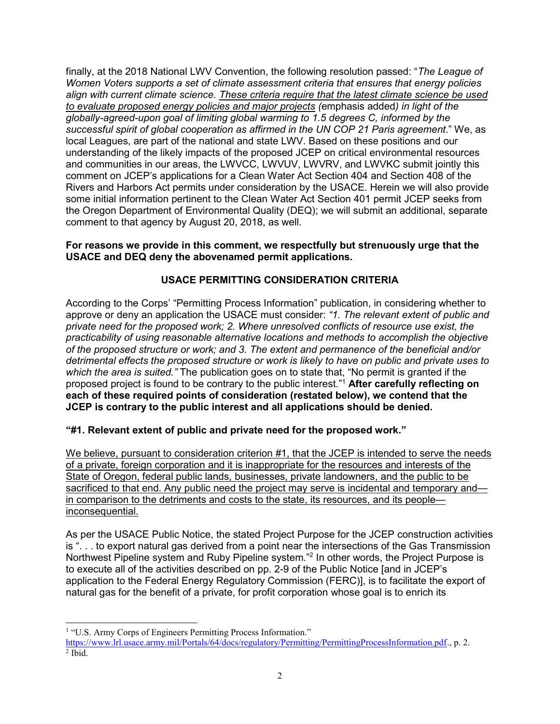finally, at the 2018 National LWV Convention, the following resolution passed: "*The League of Women Voters supports a set of climate assessment criteria that ensures that energy policies align with current climate science. These criteria require that the latest climate science be used to evaluate proposed energy policies and major projects (*emphasis added*) in light of the globally-agreed-upon goal of limiting global warming to 1.5 degrees C, informed by the successful spirit of global cooperation as affirmed in the UN COP 21 Paris agreement*." We, as local Leagues, are part of the national and state LWV. Based on these positions and our understanding of the likely impacts of the proposed JCEP on critical environmental resources and communities in our areas, the LWVCC, LWVUV, LWVRV, and LWVKC submit jointly this comment on JCEP's applications for a Clean Water Act Section 404 and Section 408 of the Rivers and Harbors Act permits under consideration by the USACE. Herein we will also provide some initial information pertinent to the Clean Water Act Section 401 permit JCEP seeks from the Oregon Department of Environmental Quality (DEQ); we will submit an additional, separate comment to that agency by August 20, 2018, as well.

### **For reasons we provide in this comment, we respectfully but strenuously urge that the USACE and DEQ deny the abovenamed permit applications.**

# **USACE PERMITTING CONSIDERATION CRITERIA**

According to the Corps' "Permitting Process Information" publication, in considering whether to approve or deny an application the USACE must consider: *"1. The relevant extent of public and private need for the proposed work; 2. Where unresolved conflicts of resource use exist, the practicability of using reasonable alternative locations and methods to accomplish the objective of the proposed structure or work; and 3. The extent and permanence of the beneficial and/or detrimental effects the proposed structure or work is likely to have on public and private uses to which the area is suited."* The publication goes on to state that, "No permit is granted if the proposed project is found to be contrary to the public interest." <sup>1</sup> **After carefully reflecting on each of these required points of consideration (restated below), we contend that the JCEP is contrary to the public interest and all applications should be denied.**

# **"#1. Relevant extent of public and private need for the proposed work."**

We believe, pursuant to consideration criterion #1, that the JCEP is intended to serve the needs of a private, foreign corporation and it is inappropriate for the resources and interests of the State of Oregon, federal public lands, businesses, private landowners, and the public to be sacrificed to that end. Any public need the project may serve is incidental and temporary and in comparison to the detriments and costs to the state, its resources, and its people inconsequential.

As per the USACE Public Notice, the stated Project Purpose for the JCEP construction activities is ". . . to export natural gas derived from a point near the intersections of the Gas Transmission Northwest Pipeline system and Ruby Pipeline system."<sup>2</sup> In other words, the Project Purpose is to execute all of the activities described on pp. 2-9 of the Public Notice [and in JCEP's application to the Federal Energy Regulatory Commission (FERC)], is to facilitate the export of natural gas for the benefit of a private, for profit corporation whose goal is to enrich its

 $\overline{a}$ <sup>1</sup> "U.S. Army Corps of Engineers Permitting Process Information."

[https://www.lrl.usace.army.mil/Portals/64/docs/regulatory/Permitting/PermittingProcessInformation.pdf.](https://www.lrl.usace.army.mil/Portals/64/docs/regulatory/Permitting/PermittingProcessInformation.pdf), p. 2.  $<sup>2</sup>$  Ibid.</sup>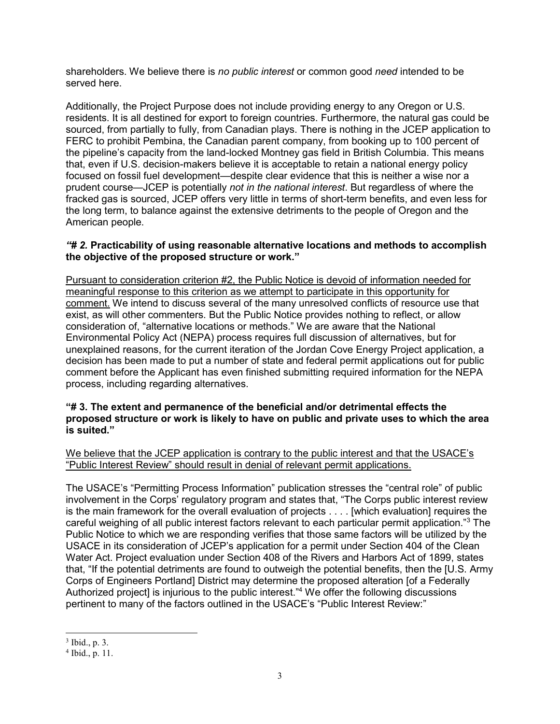shareholders. We believe there is *no public interest* or common good *need* intended to be served here.

Additionally, the Project Purpose does not include providing energy to any Oregon or U.S. residents. It is all destined for export to foreign countries. Furthermore, the natural gas could be sourced, from partially to fully, from Canadian plays. There is nothing in the JCEP application to FERC to prohibit Pembina, the Canadian parent company, from booking up to 100 percent of the pipeline's capacity from the land-locked Montney gas field in British Columbia. This means that, even if U.S. decision-makers believe it is acceptable to retain a national energy policy focused on fossil fuel development—despite clear evidence that this is neither a wise nor a prudent course—JCEP is potentially *not in the national interest*. But regardless of where the fracked gas is sourced, JCEP offers very little in terms of short-term benefits, and even less for the long term, to balance against the extensive detriments to the people of Oregon and the American people.

#### *"# 2.* **Practicability of using reasonable alternative locations and methods to accomplish the objective of the proposed structure or work."**

Pursuant to consideration criterion #2, the Public Notice is devoid of information needed for meaningful response to this criterion as we attempt to participate in this opportunity for comment. We intend to discuss several of the many unresolved conflicts of resource use that exist, as will other commenters. But the Public Notice provides nothing to reflect, or allow consideration of, "alternative locations or methods." We are aware that the National Environmental Policy Act (NEPA) process requires full discussion of alternatives, but for unexplained reasons, for the current iteration of the Jordan Cove Energy Project application, a decision has been made to put a number of state and federal permit applications out for public comment before the Applicant has even finished submitting required information for the NEPA process, including regarding alternatives.

#### **"# 3. The extent and permanence of the beneficial and/or detrimental effects the proposed structure or work is likely to have on public and private uses to which the area is suited."**

We believe that the JCEP application is contrary to the public interest and that the USACE's "Public Interest Review" should result in denial of relevant permit applications.

The USACE's "Permitting Process Information" publication stresses the "central role" of public involvement in the Corps' regulatory program and states that, "The Corps public interest review is the main framework for the overall evaluation of projects . . . . [which evaluation] requires the careful weighing of all public interest factors relevant to each particular permit application."<sup>3</sup> The Public Notice to which we are responding verifies that those same factors will be utilized by the USACE in its consideration of JCEP's application for a permit under Section 404 of the Clean Water Act. Project evaluation under Section 408 of the Rivers and Harbors Act of 1899, states that, "If the potential detriments are found to outweigh the potential benefits, then the [U.S. Army Corps of Engineers Portland] District may determine the proposed alteration [of a Federally Authorized project] is injurious to the public interest."<sup>4</sup> We offer the following discussions pertinent to many of the factors outlined in the USACE's "Public Interest Review:"

<sup>3</sup> Ibid., p. 3.

<sup>4</sup> Ibid., p. 11.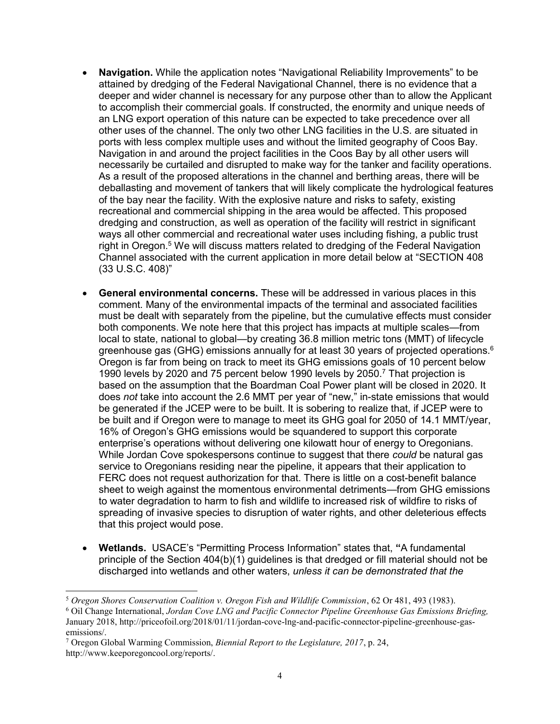- **Navigation.** While the application notes "Navigational Reliability Improvements" to be attained by dredging of the Federal Navigational Channel, there is no evidence that a deeper and wider channel is necessary for any purpose other than to allow the Applicant to accomplish their commercial goals. If constructed, the enormity and unique needs of an LNG export operation of this nature can be expected to take precedence over all other uses of the channel. The only two other LNG facilities in the U.S. are situated in ports with less complex multiple uses and without the limited geography of Coos Bay. Navigation in and around the project facilities in the Coos Bay by all other users will necessarily be curtailed and disrupted to make way for the tanker and facility operations. As a result of the proposed alterations in the channel and berthing areas, there will be deballasting and movement of tankers that will likely complicate the hydrological features of the bay near the facility. With the explosive nature and risks to safety, existing recreational and commercial shipping in the area would be affected. This proposed dredging and construction, as well as operation of the facility will restrict in significant ways all other commercial and recreational water uses including fishing, a public trust right in Oregon.<sup>5</sup> We will discuss matters related to dredging of the Federal Navigation Channel associated with the current application in more detail below at "SECTION 408 (33 U.S.C. 408)"
- **General environmental concerns.** These will be addressed in various places in this comment. Many of the environmental impacts of the terminal and associated facilities must be dealt with separately from the pipeline, but the cumulative effects must consider both components. We note here that this project has impacts at multiple scales—from local to state, national to global—by creating 36.8 million metric tons (MMT) of lifecycle greenhouse gas (GHG) emissions annually for at least 30 years of projected operations.<sup>6</sup> Oregon is far from being on track to meet its GHG emissions goals of 10 percent below 1990 levels by 2020 and 75 percent below 1990 levels by 2050.<sup>7</sup> That projection is based on the assumption that the Boardman Coal Power plant will be closed in 2020. It does *not* take into account the 2.6 MMT per year of "new," in-state emissions that would be generated if the JCEP were to be built. It is sobering to realize that, if JCEP were to be built and if Oregon were to manage to meet its GHG goal for 2050 of 14.1 MMT/year, 16% of Oregon's GHG emissions would be squandered to support this corporate enterprise's operations without delivering one kilowatt hour of energy to Oregonians. While Jordan Cove spokespersons continue to suggest that there *could* be natural gas service to Oregonians residing near the pipeline, it appears that their application to FERC does not request authorization for that. There is little on a cost-benefit balance sheet to weigh against the momentous environmental detriments—from GHG emissions to water degradation to harm to fish and wildlife to increased risk of wildfire to risks of spreading of invasive species to disruption of water rights, and other deleterious effects that this project would pose.
- **Wetlands.** USACE's "Permitting Process Information" states that, **"**A fundamental principle of the Section 404(b)(1) guidelines is that dredged or fill material should not be discharged into wetlands and other waters, *unless it can be demonstrated that the*

 $\overline{a}$ <sup>5</sup> *Oregon Shores Conservation Coalition v. Oregon Fish and Wildlife Commission*, 62 Or 481, 493 (1983).

<sup>6</sup> Oil Change International, *Jordan Cove LNG and Pacific Connector Pipeline Greenhouse Gas Emissions Briefing,* January 2018, http://priceofoil.org/2018/01/11/jordan-cove-lng-and-pacific-connector-pipeline-greenhouse-gasemissions/.

<sup>7</sup> Oregon Global Warming Commission, *Biennial Report to the Legislature, 2017*, p. 24, http://www.keeporegoncool.org/reports/.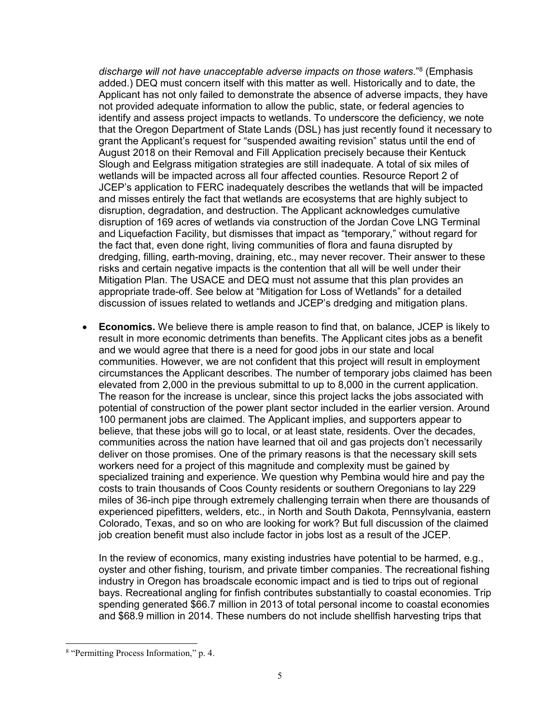*discharge will not have unacceptable adverse impacts on those waters*." 8 (Emphasis added.) DEQ must concern itself with this matter as well. Historically and to date, the Applicant has not only failed to demonstrate the absence of adverse impacts, they have not provided adequate information to allow the public, state, or federal agencies to identify and assess project impacts to wetlands. To underscore the deficiency, we note that the Oregon Department of State Lands (DSL) has just recently found it necessary to grant the Applicant's request for "suspended awaiting revision" status until the end of August 2018 on their Removal and Fill Application precisely because their Kentuck Slough and Eelgrass mitigation strategies are still inadequate. A total of six miles of wetlands will be impacted across all four affected counties. Resource Report 2 of JCEP's application to FERC inadequately describes the wetlands that will be impacted and misses entirely the fact that wetlands are ecosystems that are highly subject to disruption, degradation, and destruction. The Applicant acknowledges cumulative disruption of 169 acres of wetlands via construction of the Jordan Cove LNG Terminal and Liquefaction Facility, but dismisses that impact as "temporary," without regard for the fact that, even done right, living communities of flora and fauna disrupted by dredging, filling, earth-moving, draining, etc., may never recover. Their answer to these risks and certain negative impacts is the contention that all will be well under their Mitigation Plan. The USACE and DEQ must not assume that this plan provides an appropriate trade-off. See below at "Mitigation for Loss of Wetlands" for a detailed discussion of issues related to wetlands and JCEP's dredging and mitigation plans.

• **Economics.** We believe there is ample reason to find that, on balance, JCEP is likely to result in more economic detriments than benefits. The Applicant cites jobs as a benefit and we would agree that there is a need for good jobs in our state and local communities. However, we are not confident that this project will result in employment circumstances the Applicant describes. The number of temporary jobs claimed has been elevated from 2,000 in the previous submittal to up to 8,000 in the current application. The reason for the increase is unclear, since this project lacks the jobs associated with potential of construction of the power plant sector included in the earlier version. Around 100 permanent jobs are claimed. The Applicant implies, and supporters appear to believe, that these jobs will go to local, or at least state, residents. Over the decades, communities across the nation have learned that oil and gas projects don't necessarily deliver on those promises. One of the primary reasons is that the necessary skill sets workers need for a project of this magnitude and complexity must be gained by specialized training and experience. We question why Pembina would hire and pay the costs to train thousands of Coos County residents or southern Oregonians to lay 229 miles of 36-inch pipe through extremely challenging terrain when there are thousands of experienced pipefitters, welders, etc., in North and South Dakota, Pennsylvania, eastern Colorado, Texas, and so on who are looking for work? But full discussion of the claimed job creation benefit must also include factor in jobs lost as a result of the JCEP.

In the review of economics, many existing industries have potential to be harmed, e.g., oyster and other fishing, tourism, and private timber companies. The recreational fishing industry in Oregon has broadscale economic impact and is tied to trips out of regional bays. Recreational angling for finfish contributes substantially to coastal economies. Trip spending generated \$66.7 million in 2013 of total personal income to coastal economies and \$68.9 million in 2014. These numbers do not include shellfish harvesting trips that

<sup>8</sup> "Permitting Process Information," p. 4.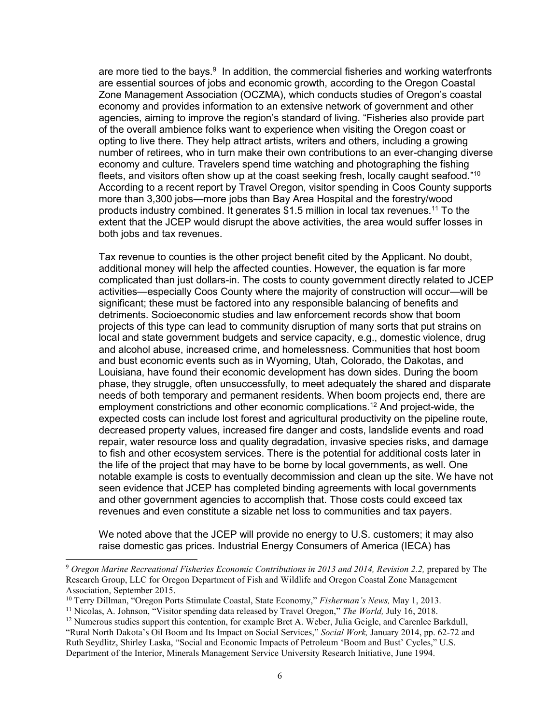are more tied to the bays.<sup>9</sup> In addition, the commercial fisheries and working waterfronts are essential sources of jobs and economic growth, according to the Oregon Coastal Zone Management Association (OCZMA), which conducts studies of Oregon's coastal economy and provides information to an extensive network of government and other agencies, aiming to improve the region's standard of living. "Fisheries also provide part of the overall ambience folks want to experience when visiting the Oregon coast or opting to live there. They help attract artists, writers and others, including a growing number of retirees, who in turn make their own contributions to an ever-changing diverse economy and culture. Travelers spend time watching and photographing the fishing fleets, and visitors often show up at the coast seeking fresh, locally caught seafood."<sup>10</sup> According to a recent report by Travel Oregon, visitor spending in Coos County supports more than 3,300 jobs—more jobs than Bay Area Hospital and the forestry/wood products industry combined. It generates \$1.5 million in local tax revenues.<sup>11</sup> To the extent that the JCEP would disrupt the above activities, the area would suffer losses in both jobs and tax revenues.

Tax revenue to counties is the other project benefit cited by the Applicant. No doubt, additional money will help the affected counties. However, the equation is far more complicated than just dollars-in. The costs to county government directly related to JCEP activities—especially Coos County where the majority of construction will occur—will be significant; these must be factored into any responsible balancing of benefits and detriments. Socioeconomic studies and law enforcement records show that boom projects of this type can lead to community disruption of many sorts that put strains on local and state government budgets and service capacity, e.g., domestic violence, drug and alcohol abuse, increased crime, and homelessness. Communities that host boom and bust economic events such as in Wyoming, Utah, Colorado, the Dakotas, and Louisiana, have found their economic development has down sides. During the boom phase, they struggle, often unsuccessfully, to meet adequately the shared and disparate needs of both temporary and permanent residents. When boom projects end, there are employment constrictions and other economic complications.<sup>12</sup> And project-wide, the expected costs can include lost forest and agricultural productivity on the pipeline route, decreased property values, increased fire danger and costs, landslide events and road repair, water resource loss and quality degradation, invasive species risks, and damage to fish and other ecosystem services. There is the potential for additional costs later in the life of the project that may have to be borne by local governments, as well. One notable example is costs to eventually decommission and clean up the site. We have not seen evidence that JCEP has completed binding agreements with local governments and other government agencies to accomplish that. Those costs could exceed tax revenues and even constitute a sizable net loss to communities and tax payers.

We noted above that the JCEP will provide no energy to U.S. customers; it may also raise domestic gas prices. Industrial Energy Consumers of America (IECA) has

<sup>10</sup> Terry Dillman, "Oregon Ports Stimulate Coastal, State Economy," *Fisherman's News,* May 1, 2013.

<sup>9</sup> *Oregon Marine Recreational Fisheries Economic Contributions in 2013 and 2014, Revision 2.2,* prepared by The Research Group, LLC for Oregon Department of Fish and Wildlife and Oregon Coastal Zone Management Association, September 2015.

<sup>11</sup> Nicolas, A. Johnson, "Visitor spending data released by Travel Oregon," *The World,* July 16, 2018.

 $12$  Numerous studies support this contention, for example Bret A. Weber, Julia Geigle, and Carenlee Barkdull, "Rural North Dakota's Oil Boom and Its Impact on Social Services," *Social Work,* January 2014, pp. 62-72 and Ruth Seydlitz, Shirley Laska, "Social and Economic Impacts of Petroleum 'Boom and Bust' Cycles," U.S. Department of the Interior, Minerals Management Service University Research Initiative, June 1994.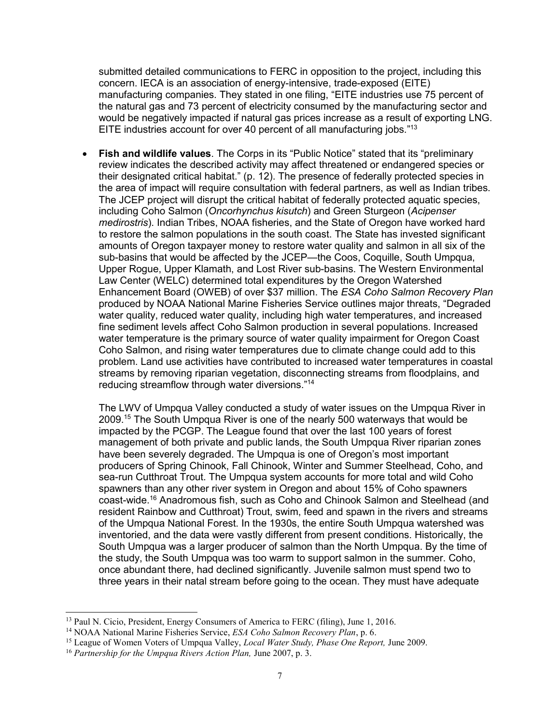submitted detailed communications to FERC in opposition to the project, including this concern. IECA is an association of energy-intensive, trade-exposed (EITE) manufacturing companies. They stated in one filing, "EITE industries use 75 percent of the natural gas and 73 percent of electricity consumed by the manufacturing sector and would be negatively impacted if natural gas prices increase as a result of exporting LNG. EITE industries account for over 40 percent of all manufacturing jobs."<sup>13</sup>

• **Fish and wildlife values**. The Corps in its "Public Notice" stated that its "preliminary review indicates the described activity may affect threatened or endangered species or their designated critical habitat." (p. 12). The presence of federally protected species in the area of impact will require consultation with federal partners, as well as Indian tribes. The JCEP project will disrupt the critical habitat of federally protected aquatic species, including Coho Salmon (*Oncorhynchus kisutch*) and Green Sturgeon (*Acipenser medirostris*). Indian Tribes, NOAA fisheries, and the State of Oregon have worked hard to restore the salmon populations in the south coast. The State has invested significant amounts of Oregon taxpayer money to restore water quality and salmon in all six of the sub-basins that would be affected by the JCEP—the Coos, Coquille, South Umpqua, Upper Rogue, Upper Klamath, and Lost River sub-basins. The Western Environmental Law Center (WELC) determined total expenditures by the Oregon Watershed Enhancement Board (OWEB) of over \$37 million. The *ESA Coho Salmon Recovery Plan*  produced by NOAA National Marine Fisheries Service outlines major threats, "Degraded water quality, reduced water quality, including high water temperatures, and increased fine sediment levels affect Coho Salmon production in several populations. Increased water temperature is the primary source of water quality impairment for Oregon Coast Coho Salmon, and rising water temperatures due to climate change could add to this problem. Land use activities have contributed to increased water temperatures in coastal streams by removing riparian vegetation, disconnecting streams from floodplains, and reducing streamflow through water diversions."<sup>14</sup>

The LWV of Umpqua Valley conducted a study of water issues on the Umpqua River in 2009.<sup>15</sup> The South Umpqua River is one of the nearly 500 waterways that would be impacted by the PCGP. The League found that over the last 100 years of forest management of both private and public lands, the South Umpqua River riparian zones have been severely degraded. The Umpqua is one of Oregon's most important producers of Spring Chinook, Fall Chinook, Winter and Summer Steelhead, Coho, and sea-run Cutthroat Trout. The Umpqua system accounts for more total and wild Coho spawners than any other river system in Oregon and about 15% of Coho spawners coast-wide.<sup>16</sup> Anadromous fish, such as Coho and Chinook Salmon and Steelhead (and resident Rainbow and Cutthroat) Trout, swim, feed and spawn in the rivers and streams of the Umpqua National Forest. In the 1930s, the entire South Umpqua watershed was inventoried, and the data were vastly different from present conditions. Historically, the South Umpqua was a larger producer of salmon than the North Umpqua. By the time of the study, the South Umpqua was too warm to support salmon in the summer. Coho, once abundant there, had declined significantly. Juvenile salmon must spend two to three years in their natal stream before going to the ocean. They must have adequate

<sup>&</sup>lt;sup>13</sup> Paul N. Cicio, President, Energy Consumers of America to FERC (filing), June 1, 2016.

<sup>14</sup> NOAA National Marine Fisheries Service, *ESA Coho Salmon Recovery Plan*, p. 6.

<sup>15</sup> League of Women Voters of Umpqua Valley, *Local Water Study, Phase One Report,* June 2009.

<sup>16</sup> *Partnership for the Umpqua Rivers Action Plan,* June 2007, p. 3.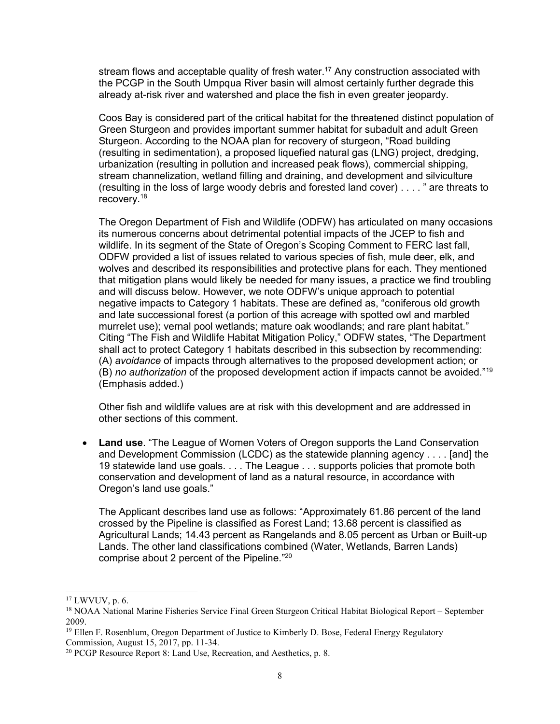stream flows and acceptable quality of fresh water.<sup>17</sup> Any construction associated with the PCGP in the South Umpqua River basin will almost certainly further degrade this already at-risk river and watershed and place the fish in even greater jeopardy.

Coos Bay is considered part of the critical habitat for the threatened distinct population of Green Sturgeon and provides important summer habitat for subadult and adult Green Sturgeon. According to the NOAA plan for recovery of sturgeon, "Road building (resulting in sedimentation), a proposed liquefied natural gas (LNG) project, dredging, urbanization (resulting in pollution and increased peak flows), commercial shipping, stream channelization, wetland filling and draining, and development and silviculture (resulting in the loss of large woody debris and forested land cover) . . . . " are threats to recovery.<sup>18</sup>

The Oregon Department of Fish and Wildlife (ODFW) has articulated on many occasions its numerous concerns about detrimental potential impacts of the JCEP to fish and wildlife. In its segment of the State of Oregon's Scoping Comment to FERC last fall, ODFW provided a list of issues related to various species of fish, mule deer, elk, and wolves and described its responsibilities and protective plans for each. They mentioned that mitigation plans would likely be needed for many issues, a practice we find troubling and will discuss below. However, we note ODFW's unique approach to potential negative impacts to Category 1 habitats. These are defined as, "coniferous old growth and late successional forest (a portion of this acreage with spotted owl and marbled murrelet use); vernal pool wetlands; mature oak woodlands; and rare plant habitat." Citing "The Fish and Wildlife Habitat Mitigation Policy," ODFW states, "The Department shall act to protect Category 1 habitats described in this subsection by recommending: (A) *avoidance* of impacts through alternatives to the proposed development action; or (B) *no authorization* of the proposed development action if impacts cannot be avoided."<sup>19</sup> (Emphasis added.)

Other fish and wildlife values are at risk with this development and are addressed in other sections of this comment.

• **Land use**. "The League of Women Voters of Oregon supports the Land Conservation and Development Commission (LCDC) as the statewide planning agency . . . . [and] the 19 statewide land use goals. . . . The League . . . supports policies that promote both conservation and development of land as a natural resource, in accordance with Oregon's land use goals."

The Applicant describes land use as follows: "Approximately 61.86 percent of the land crossed by the Pipeline is classified as Forest Land; 13.68 percent is classified as Agricultural Lands; 14.43 percent as Rangelands and 8.05 percent as Urban or Built-up Lands. The other land classifications combined (Water, Wetlands, Barren Lands) comprise about 2 percent of the Pipeline." 20

<sup>17</sup> LWVUV, p. 6.

<sup>18</sup> NOAA National Marine Fisheries Service Final Green Sturgeon Critical Habitat Biological Report – September 2009.

<sup>&</sup>lt;sup>19</sup> Ellen F. Rosenblum, Oregon Department of Justice to Kimberly D. Bose, Federal Energy Regulatory Commission, August 15, 2017, pp. 11-34.

<sup>&</sup>lt;sup>20</sup> PCGP Resource Report 8: Land Use, Recreation, and Aesthetics, p. 8.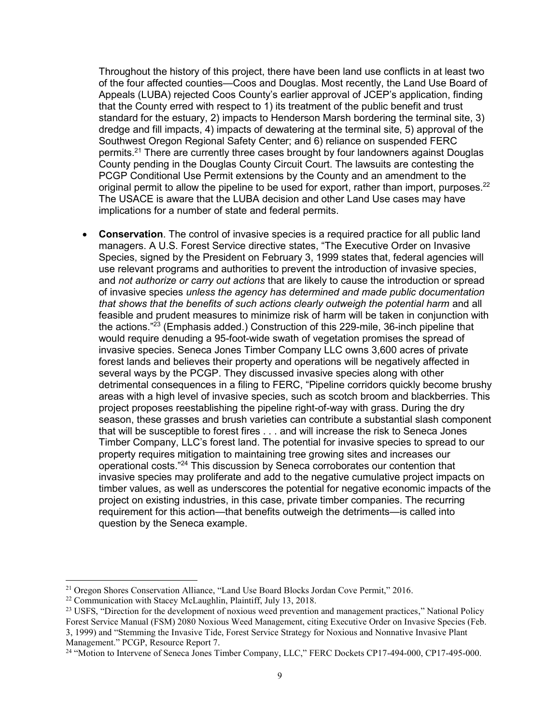Throughout the history of this project, there have been land use conflicts in at least two of the four affected counties—Coos and Douglas. Most recently, the Land Use Board of Appeals (LUBA) rejected Coos County's earlier approval of JCEP's application, finding that the County erred with respect to 1) its treatment of the public benefit and trust standard for the estuary, 2) impacts to Henderson Marsh bordering the terminal site, 3) dredge and fill impacts, 4) impacts of dewatering at the terminal site, 5) approval of the Southwest Oregon Regional Safety Center; and 6) reliance on suspended FERC permits.<sup>21</sup> There are currently three cases brought by four landowners against Douglas County pending in the Douglas County Circuit Court. The lawsuits are contesting the PCGP Conditional Use Permit extensions by the County and an amendment to the original permit to allow the pipeline to be used for export, rather than import, purposes. $^{22}$ The USACE is aware that the LUBA decision and other Land Use cases may have implications for a number of state and federal permits.

• **Conservation**. The control of invasive species is a required practice for all public land managers. A U.S. Forest Service directive states, "The Executive Order on Invasive Species, signed by the President on February 3, 1999 states that, federal agencies will use relevant programs and authorities to prevent the introduction of invasive species, and *not authorize or carry out actions* that are likely to cause the introduction or spread of invasive species *unless the agency has determined and made public documentation that shows that the benefits of such actions clearly outweigh the potential harm* and all feasible and prudent measures to minimize risk of harm will be taken in conjunction with the actions."<sup>23</sup> (Emphasis added.) Construction of this 229-mile, 36-inch pipeline that would require denuding a 95-foot-wide swath of vegetation promises the spread of invasive species. Seneca Jones Timber Company LLC owns 3,600 acres of private forest lands and believes their property and operations will be negatively affected in several ways by the PCGP. They discussed invasive species along with other detrimental consequences in a filing to FERC, "Pipeline corridors quickly become brushy areas with a high level of invasive species, such as scotch broom and blackberries. This project proposes reestablishing the pipeline right-of-way with grass. During the dry season, these grasses and brush varieties can contribute a substantial slash component that will be susceptible to forest fires . . . and will increase the risk to Seneca Jones Timber Company, LLC's forest land. The potential for invasive species to spread to our property requires mitigation to maintaining tree growing sites and increases our operational costs."<sup>24</sup> This discussion by Seneca corroborates our contention that invasive species may proliferate and add to the negative cumulative project impacts on timber values, as well as underscores the potential for negative economic impacts of the project on existing industries, in this case, private timber companies. The recurring requirement for this action—that benefits outweigh the detriments—is called into question by the Seneca example.

<sup>21</sup> Oregon Shores Conservation Alliance, "Land Use Board Blocks Jordan Cove Permit," 2016.

<sup>22</sup> Communication with Stacey McLaughlin, Plaintiff, July 13, 2018.

<sup>&</sup>lt;sup>23</sup> USFS, "Direction for the development of noxious weed prevention and management practices," National Policy Forest Service Manual (FSM) 2080 Noxious Weed Management, citing Executive Order on Invasive Species (Feb. 3, 1999) and "Stemming the Invasive Tide, Forest Service Strategy for Noxious and Nonnative Invasive Plant Management." PCGP, Resource Report 7.

<sup>&</sup>lt;sup>24</sup> "Motion to Intervene of Seneca Jones Timber Company, LLC," FERC Dockets CP17-494-000, CP17-495-000.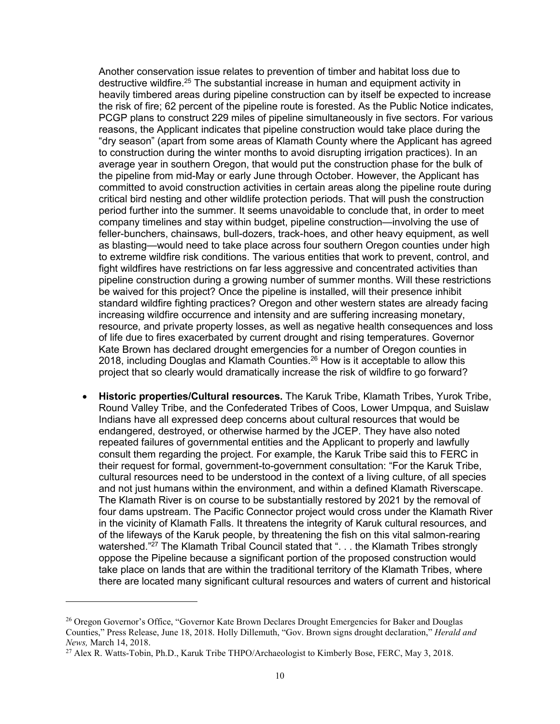Another conservation issue relates to prevention of timber and habitat loss due to destructive wildfire.<sup>25</sup> The substantial increase in human and equipment activity in heavily timbered areas during pipeline construction can by itself be expected to increase the risk of fire; 62 percent of the pipeline route is forested. As the Public Notice indicates, PCGP plans to construct 229 miles of pipeline simultaneously in five sectors. For various reasons, the Applicant indicates that pipeline construction would take place during the "dry season" (apart from some areas of Klamath County where the Applicant has agreed to construction during the winter months to avoid disrupting irrigation practices). In an average year in southern Oregon, that would put the construction phase for the bulk of the pipeline from mid-May or early June through October. However, the Applicant has committed to avoid construction activities in certain areas along the pipeline route during critical bird nesting and other wildlife protection periods. That will push the construction period further into the summer. It seems unavoidable to conclude that, in order to meet company timelines and stay within budget, pipeline construction—involving the use of feller-bunchers, chainsaws, bull-dozers, track-hoes, and other heavy equipment, as well as blasting—would need to take place across four southern Oregon counties under high to extreme wildfire risk conditions. The various entities that work to prevent, control, and fight wildfires have restrictions on far less aggressive and concentrated activities than pipeline construction during a growing number of summer months. Will these restrictions be waived for this project? Once the pipeline is installed, will their presence inhibit standard wildfire fighting practices? Oregon and other western states are already facing increasing wildfire occurrence and intensity and are suffering increasing monetary, resource, and private property losses, as well as negative health consequences and loss of life due to fires exacerbated by current drought and rising temperatures. Governor Kate Brown has declared drought emergencies for a number of Oregon counties in 2018, including Douglas and Klamath Counties. <sup>26</sup> How is it acceptable to allow this project that so clearly would dramatically increase the risk of wildfire to go forward?

• **Historic properties/Cultural resources.** The Karuk Tribe, Klamath Tribes, Yurok Tribe, Round Valley Tribe, and the Confederated Tribes of Coos, Lower Umpqua, and Suislaw Indians have all expressed deep concerns about cultural resources that would be endangered, destroyed, or otherwise harmed by the JCEP. They have also noted repeated failures of governmental entities and the Applicant to properly and lawfully consult them regarding the project. For example, the Karuk Tribe said this to FERC in their request for formal, government-to-government consultation: "For the Karuk Tribe, cultural resources need to be understood in the context of a living culture, of all species and not just humans within the environment, and within a defined Klamath Riverscape. The Klamath River is on course to be substantially restored by 2021 by the removal of four dams upstream. The Pacific Connector project would cross under the Klamath River in the vicinity of Klamath Falls. It threatens the integrity of Karuk cultural resources, and of the lifeways of the Karuk people, by threatening the fish on this vital salmon-rearing watershed."<sup>27</sup> The Klamath Tribal Council stated that ". . . the Klamath Tribes strongly oppose the Pipeline because a significant portion of the proposed construction would take place on lands that are within the traditional territory of the Klamath Tribes, where there are located many significant cultural resources and waters of current and historical

<sup>&</sup>lt;sup>26</sup> Oregon Governor's Office, "Governor Kate Brown Declares Drought Emergencies for Baker and Douglas Counties," Press Release, June 18, 2018. Holly Dillemuth, "Gov. Brown signs drought declaration," *Herald and News,* March 14, 2018.

<sup>&</sup>lt;sup>27</sup> Alex R. Watts-Tobin, Ph.D., Karuk Tribe THPO/Archaeologist to Kimberly Bose, FERC, May 3, 2018.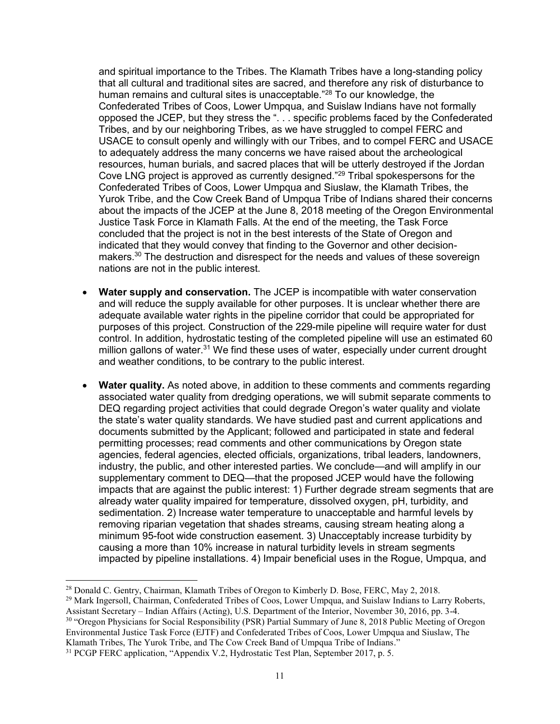and spiritual importance to the Tribes. The Klamath Tribes have a long-standing policy that all cultural and traditional sites are sacred, and therefore any risk of disturbance to human remains and cultural sites is unacceptable."<sup>28</sup> To our knowledge, the Confederated Tribes of Coos, Lower Umpqua, and Suislaw Indians have not formally opposed the JCEP, but they stress the ". . . specific problems faced by the Confederated Tribes, and by our neighboring Tribes, as we have struggled to compel FERC and USACE to consult openly and willingly with our Tribes, and to compel FERC and USACE to adequately address the many concerns we have raised about the archeological resources, human burials, and sacred places that will be utterly destroyed if the Jordan Cove LNG project is approved as currently designed."<sup>29</sup> Tribal spokespersons for the Confederated Tribes of Coos, Lower Umpqua and Siuslaw, the Klamath Tribes, the Yurok Tribe, and the Cow Creek Band of Umpqua Tribe of Indians shared their concerns about the impacts of the JCEP at the June 8, 2018 meeting of the Oregon Environmental Justice Task Force in Klamath Falls. At the end of the meeting, the Task Force concluded that the project is not in the best interests of the State of Oregon and indicated that they would convey that finding to the Governor and other decisionmakers. <sup>30</sup> The destruction and disrespect for the needs and values of these sovereign nations are not in the public interest.

- **Water supply and conservation.** The JCEP is incompatible with water conservation and will reduce the supply available for other purposes. It is unclear whether there are adequate available water rights in the pipeline corridor that could be appropriated for purposes of this project. Construction of the 229-mile pipeline will require water for dust control. In addition, hydrostatic testing of the completed pipeline will use an estimated 60 million gallons of water.<sup>31</sup> We find these uses of water, especially under current drought and weather conditions, to be contrary to the public interest.
- **Water quality.** As noted above, in addition to these comments and comments regarding associated water quality from dredging operations, we will submit separate comments to DEQ regarding project activities that could degrade Oregon's water quality and violate the state's water quality standards. We have studied past and current applications and documents submitted by the Applicant; followed and participated in state and federal permitting processes; read comments and other communications by Oregon state agencies, federal agencies, elected officials, organizations, tribal leaders, landowners, industry, the public, and other interested parties. We conclude—and will amplify in our supplementary comment to DEQ—that the proposed JCEP would have the following impacts that are against the public interest: 1) Further degrade stream segments that are already water quality impaired for temperature, dissolved oxygen, pH, turbidity, and sedimentation. 2) Increase water temperature to unacceptable and harmful levels by removing riparian vegetation that shades streams, causing stream heating along a minimum 95-foot wide construction easement. 3) Unacceptably increase turbidity by causing a more than 10% increase in natural turbidity levels in stream segments impacted by pipeline installations. 4) Impair beneficial uses in the Rogue, Umpqua, and

 $\overline{a}$ <sup>28</sup> Donald C. Gentry, Chairman, Klamath Tribes of Oregon to Kimberly D. Bose, FERC, May 2, 2018.

<sup>&</sup>lt;sup>29</sup> Mark Ingersoll, Chairman, Confederated Tribes of Coos, Lower Umpqua, and Suislaw Indians to Larry Roberts, Assistant Secretary – Indian Affairs (Acting), U.S. Department of the Interior, November 30, 2016, pp. 3-4. <sup>30</sup> "Oregon Physicians for Social Responsibility (PSR) Partial Summary of June 8, 2018 Public Meeting of Oregon Environmental Justice Task Force (EJTF) and Confederated Tribes of Coos, Lower Umpqua and Siuslaw, The Klamath Tribes, The Yurok Tribe, and The Cow Creek Band of Umpqua Tribe of Indians."

<sup>31</sup> PCGP FERC application, "Appendix V.2, Hydrostatic Test Plan, September 2017, p. 5.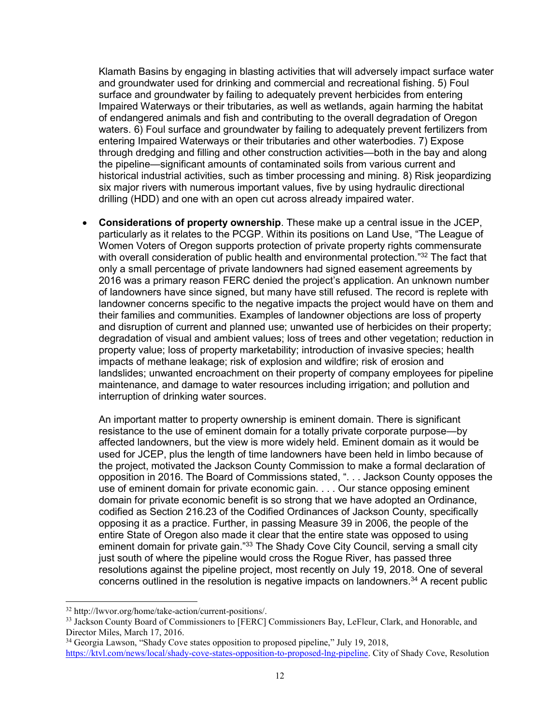Klamath Basins by engaging in blasting activities that will adversely impact surface water and groundwater used for drinking and commercial and recreational fishing. 5) Foul surface and groundwater by failing to adequately prevent herbicides from entering Impaired Waterways or their tributaries, as well as wetlands, again harming the habitat of endangered animals and fish and contributing to the overall degradation of Oregon waters. 6) Foul surface and groundwater by failing to adequately prevent fertilizers from entering Impaired Waterways or their tributaries and other waterbodies. 7) Expose through dredging and filling and other construction activities—both in the bay and along the pipeline—significant amounts of contaminated soils from various current and historical industrial activities, such as timber processing and mining. 8) Risk jeopardizing six major rivers with numerous important values, five by using hydraulic directional drilling (HDD) and one with an open cut across already impaired water.

• **Considerations of property ownership**. These make up a central issue in the JCEP, particularly as it relates to the PCGP. Within its positions on Land Use, "The League of Women Voters of Oregon supports protection of private property rights commensurate with overall consideration of public health and environmental protection."<sup>32</sup> The fact that only a small percentage of private landowners had signed easement agreements by 2016 was a primary reason FERC denied the project's application. An unknown number of landowners have since signed, but many have still refused. The record is replete with landowner concerns specific to the negative impacts the project would have on them and their families and communities. Examples of landowner objections are loss of property and disruption of current and planned use; unwanted use of herbicides on their property; degradation of visual and ambient values; loss of trees and other vegetation; reduction in property value; loss of property marketability; introduction of invasive species; health impacts of methane leakage; risk of explosion and wildfire; risk of erosion and landslides; unwanted encroachment on their property of company employees for pipeline maintenance, and damage to water resources including irrigation; and pollution and interruption of drinking water sources.

An important matter to property ownership is eminent domain. There is significant resistance to the use of eminent domain for a totally private corporate purpose—by affected landowners, but the view is more widely held. Eminent domain as it would be used for JCEP, plus the length of time landowners have been held in limbo because of the project, motivated the Jackson County Commission to make a formal declaration of opposition in 2016. The Board of Commissions stated, ". . . Jackson County opposes the use of eminent domain for private economic gain. . . . Our stance opposing eminent domain for private economic benefit is so strong that we have adopted an Ordinance, codified as Section 216.23 of the Codified Ordinances of Jackson County, specifically opposing it as a practice. Further, in passing Measure 39 in 2006, the people of the entire State of Oregon also made it clear that the entire state was opposed to using eminent domain for private gain."<sup>33</sup> The Shady Cove City Council, serving a small city just south of where the pipeline would cross the Rogue River, has passed three resolutions against the pipeline project, most recently on July 19, 2018. One of several concerns outlined in the resolution is negative impacts on landowners.<sup>34</sup> A recent public

<sup>32</sup> http://lwvor.org/home/take-action/current-positions/.

<sup>&</sup>lt;sup>33</sup> Jackson County Board of Commissioners to [FERC] Commissioners Bay, LeFleur, Clark, and Honorable, and Director Miles, March 17, 2016.

<sup>&</sup>lt;sup>34</sup> Georgia Lawson, "Shady Cove states opposition to proposed pipeline," July 19, 2018, [https://ktvl.com/news/local/shady-cove-states-opposition-to-proposed-lng-pipeline.](https://ktvl.com/news/local/shady-cove-states-opposition-to-proposed-lng-pipeline) City of Shady Cove, Resolution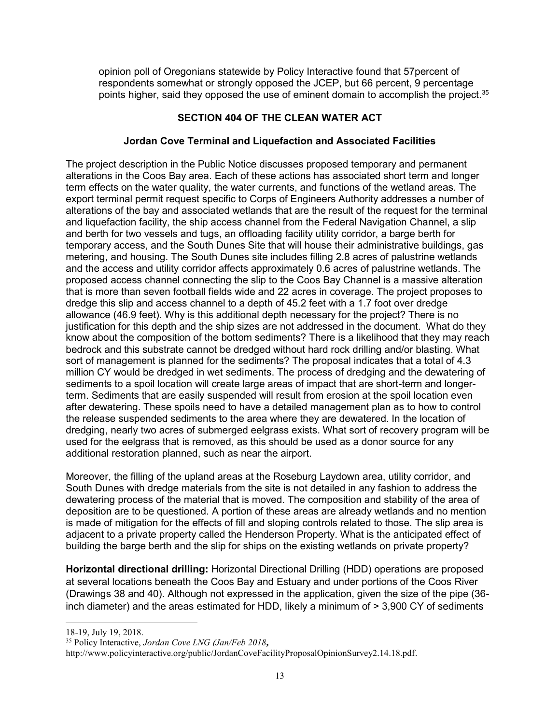opinion poll of Oregonians statewide by Policy Interactive found that 57percent of respondents somewhat or strongly opposed the JCEP, but 66 percent, 9 percentage points higher, said they opposed the use of eminent domain to accomplish the project.<sup>35</sup>

## **SECTION 404 OF THE CLEAN WATER ACT**

## **Jordan Cove Terminal and Liquefaction and Associated Facilities**

The project description in the Public Notice discusses proposed temporary and permanent alterations in the Coos Bay area. Each of these actions has associated short term and longer term effects on the water quality, the water currents, and functions of the wetland areas. The export terminal permit request specific to Corps of Engineers Authority addresses a number of alterations of the bay and associated wetlands that are the result of the request for the terminal and liquefaction facility, the ship access channel from the Federal Navigation Channel, a slip and berth for two vessels and tugs, an offloading facility utility corridor, a barge berth for temporary access, and the South Dunes Site that will house their administrative buildings, gas metering, and housing. The South Dunes site includes filling 2.8 acres of palustrine wetlands and the access and utility corridor affects approximately 0.6 acres of palustrine wetlands. The proposed access channel connecting the slip to the Coos Bay Channel is a massive alteration that is more than seven football fields wide and 22 acres in coverage. The project proposes to dredge this slip and access channel to a depth of 45.2 feet with a 1.7 foot over dredge allowance (46.9 feet). Why is this additional depth necessary for the project? There is no justification for this depth and the ship sizes are not addressed in the document. What do they know about the composition of the bottom sediments? There is a likelihood that they may reach bedrock and this substrate cannot be dredged without hard rock drilling and/or blasting. What sort of management is planned for the sediments? The proposal indicates that a total of 4.3 million CY would be dredged in wet sediments. The process of dredging and the dewatering of sediments to a spoil location will create large areas of impact that are short-term and longerterm. Sediments that are easily suspended will result from erosion at the spoil location even after dewatering. These spoils need to have a detailed management plan as to how to control the release suspended sediments to the area where they are dewatered. In the location of dredging, nearly two acres of submerged eelgrass exists. What sort of recovery program will be used for the eelgrass that is removed, as this should be used as a donor source for any additional restoration planned, such as near the airport.

Moreover, the filling of the upland areas at the Roseburg Laydown area, utility corridor, and South Dunes with dredge materials from the site is not detailed in any fashion to address the dewatering process of the material that is moved. The composition and stability of the area of deposition are to be questioned. A portion of these areas are already wetlands and no mention is made of mitigation for the effects of fill and sloping controls related to those. The slip area is adjacent to a private property called the Henderson Property. What is the anticipated effect of building the barge berth and the slip for ships on the existing wetlands on private property?

**Horizontal directional drilling:** Horizontal Directional Drilling (HDD) operations are proposed at several locations beneath the Coos Bay and Estuary and under portions of the Coos River (Drawings 38 and 40). Although not expressed in the application, given the size of the pipe (36 inch diameter) and the areas estimated for HDD, likely a minimum of > 3,900 CY of sediments

18-19, July 19, 2018.

<sup>35</sup> Policy Interactive, *Jordan Cove LNG (Jan/Feb 2018***,** 

http://www.policyinteractive.org/public/JordanCoveFacilityProposalOpinionSurvey2.14.18.pdf.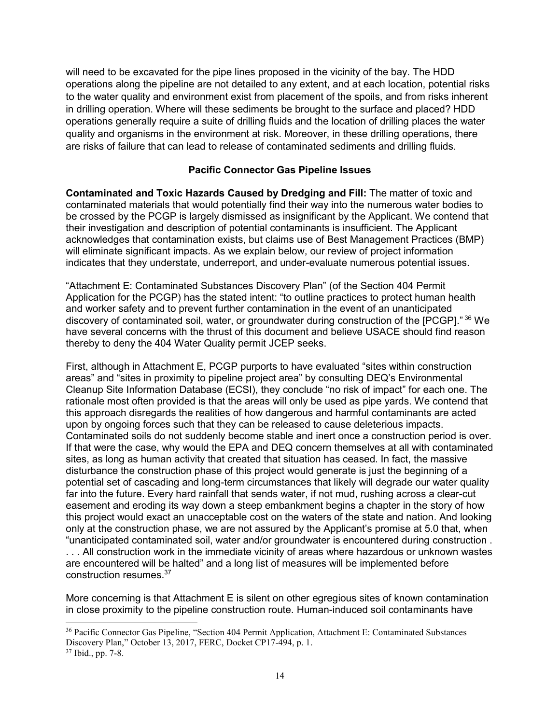will need to be excavated for the pipe lines proposed in the vicinity of the bay. The HDD operations along the pipeline are not detailed to any extent, and at each location, potential risks to the water quality and environment exist from placement of the spoils, and from risks inherent in drilling operation. Where will these sediments be brought to the surface and placed? HDD operations generally require a suite of drilling fluids and the location of drilling places the water quality and organisms in the environment at risk. Moreover, in these drilling operations, there are risks of failure that can lead to release of contaminated sediments and drilling fluids.

### **Pacific Connector Gas Pipeline Issues**

**Contaminated and Toxic Hazards Caused by Dredging and Fill:** The matter of toxic and contaminated materials that would potentially find their way into the numerous water bodies to be crossed by the PCGP is largely dismissed as insignificant by the Applicant. We contend that their investigation and description of potential contaminants is insufficient. The Applicant acknowledges that contamination exists, but claims use of Best Management Practices (BMP) will eliminate significant impacts. As we explain below, our review of project information indicates that they understate, underreport, and under-evaluate numerous potential issues.

"Attachment E: Contaminated Substances Discovery Plan" (of the Section 404 Permit Application for the PCGP) has the stated intent: "to outline practices to protect human health and worker safety and to prevent further contamination in the event of an unanticipated discovery of contaminated soil, water, or groundwater during construction of the [PCGP]." 36 We have several concerns with the thrust of this document and believe USACE should find reason thereby to deny the 404 Water Quality permit JCEP seeks.

First, although in Attachment E, PCGP purports to have evaluated "sites within construction areas" and "sites in proximity to pipeline project area" by consulting DEQ's Environmental Cleanup Site Information Database (ECSI), they conclude "no risk of impact" for each one. The rationale most often provided is that the areas will only be used as pipe yards. We contend that this approach disregards the realities of how dangerous and harmful contaminants are acted upon by ongoing forces such that they can be released to cause deleterious impacts. Contaminated soils do not suddenly become stable and inert once a construction period is over. If that were the case, why would the EPA and DEQ concern themselves at all with contaminated sites, as long as human activity that created that situation has ceased. In fact, the massive disturbance the construction phase of this project would generate is just the beginning of a potential set of cascading and long-term circumstances that likely will degrade our water quality far into the future. Every hard rainfall that sends water, if not mud, rushing across a clear-cut easement and eroding its way down a steep embankment begins a chapter in the story of how this project would exact an unacceptable cost on the waters of the state and nation. And looking only at the construction phase, we are not assured by the Applicant's promise at 5.0 that, when "unanticipated contaminated soil, water and/or groundwater is encountered during construction . . . . All construction work in the immediate vicinity of areas where hazardous or unknown wastes are encountered will be halted" and a long list of measures will be implemented before construction resumes.<sup>37</sup>

More concerning is that Attachment E is silent on other egregious sites of known contamination in close proximity to the pipeline construction route. Human-induced soil contaminants have

<sup>36</sup> Pacific Connector Gas Pipeline, "Section 404 Permit Application, Attachment E: Contaminated Substances Discovery Plan," October 13, 2017, FERC, Docket CP17-494, p. 1.

<sup>37</sup> Ibid., pp. 7-8.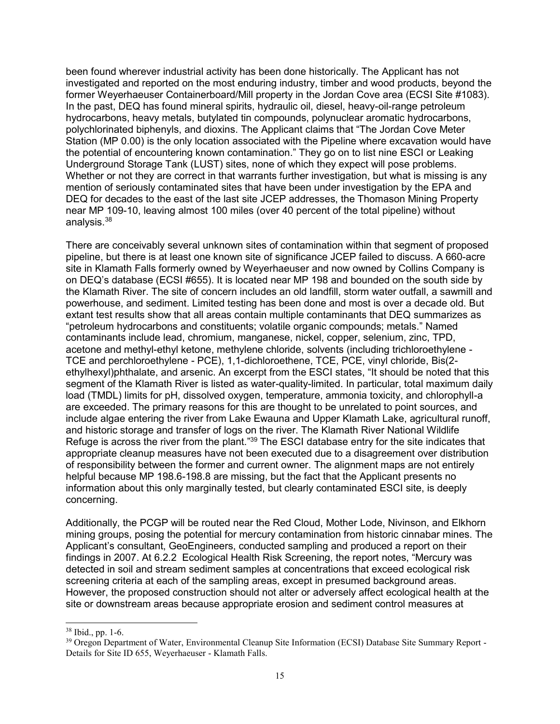been found wherever industrial activity has been done historically. The Applicant has not investigated and reported on the most enduring industry, timber and wood products, beyond the former Weyerhaeuser Containerboard/Mill property in the Jordan Cove area (ECSI Site #1083). In the past, DEQ has found mineral spirits, hydraulic oil, diesel, heavy-oil-range petroleum hydrocarbons, heavy metals, butylated tin compounds, polynuclear aromatic hydrocarbons, polychlorinated biphenyls, and dioxins. The Applicant claims that "The Jordan Cove Meter Station (MP 0.00) is the only location associated with the Pipeline where excavation would have the potential of encountering known contamination." They go on to list nine ESCI or Leaking Underground Storage Tank (LUST) sites, none of which they expect will pose problems. Whether or not they are correct in that warrants further investigation, but what is missing is any mention of seriously contaminated sites that have been under investigation by the EPA and DEQ for decades to the east of the last site JCEP addresses, the Thomason Mining Property near MP 109-10, leaving almost 100 miles (over 40 percent of the total pipeline) without analysis.<sup>38</sup>

There are conceivably several unknown sites of contamination within that segment of proposed pipeline, but there is at least one known site of significance JCEP failed to discuss. A 660-acre site in Klamath Falls formerly owned by Weyerhaeuser and now owned by Collins Company is on DEQ's database (ECSI #655). It is located near MP 198 and bounded on the south side by the Klamath River. The site of concern includes an old landfill, storm water outfall, a sawmill and powerhouse, and sediment. Limited testing has been done and most is over a decade old. But extant test results show that all areas contain multiple contaminants that DEQ summarizes as "petroleum hydrocarbons and constituents; volatile organic compounds; metals." Named contaminants include lead, chromium, manganese, nickel, copper, selenium, zinc, TPD, acetone and methyl-ethyl ketone, methylene chloride, solvents (including trichloroethylene - TCE and perchloroethylene - PCE), 1,1-dichloroethene, TCE, PCE, vinyl chloride, Bis(2 ethylhexyl)phthalate, and arsenic. An excerpt from the ESCI states, "It should be noted that this segment of the Klamath River is listed as water-quality-limited. In particular, total maximum daily load (TMDL) limits for pH, dissolved oxygen, temperature, ammonia toxicity, and chlorophyll-a are exceeded. The primary reasons for this are thought to be unrelated to point sources, and include algae entering the river from Lake Ewauna and Upper Klamath Lake, agricultural runoff, and historic storage and transfer of logs on the river. The Klamath River National Wildlife Refuge is across the river from the plant."<sup>39</sup> The ESCI database entry for the site indicates that appropriate cleanup measures have not been executed due to a disagreement over distribution of responsibility between the former and current owner. The alignment maps are not entirely helpful because MP 198.6-198.8 are missing, but the fact that the Applicant presents no information about this only marginally tested, but clearly contaminated ESCI site, is deeply concerning.

Additionally, the PCGP will be routed near the Red Cloud, Mother Lode, Nivinson, and Elkhorn mining groups, posing the potential for mercury contamination from historic cinnabar mines. The Applicant's consultant, GeoEngineers, conducted sampling and produced a report on their findings in 2007. At 6.2.2 Ecological Health Risk Screening, the report notes, "Mercury was detected in soil and stream sediment samples at concentrations that exceed ecological risk screening criteria at each of the sampling areas, except in presumed background areas. However, the proposed construction should not alter or adversely affect ecological health at the site or downstream areas because appropriate erosion and sediment control measures at

<sup>38</sup> Ibid., pp. 1-6.

<sup>&</sup>lt;sup>39</sup> Oregon Department of Water, Environmental Cleanup Site Information (ECSI) Database Site Summary Report -Details for Site ID 655, Weyerhaeuser - Klamath Falls.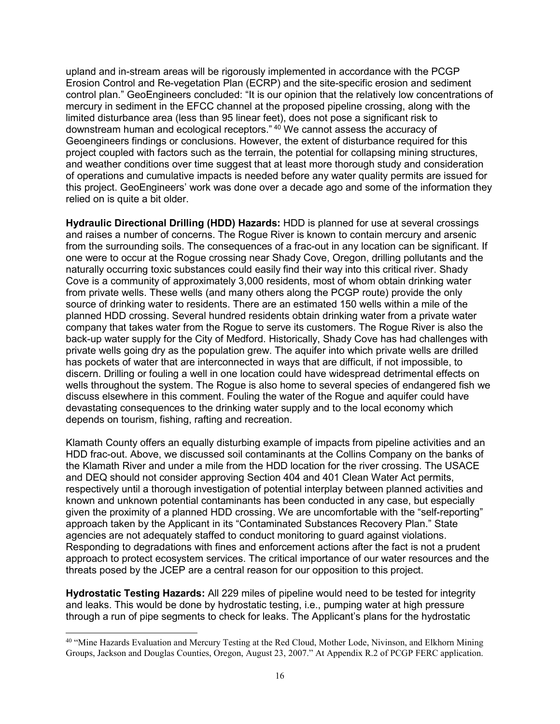upland and in-stream areas will be rigorously implemented in accordance with the PCGP Erosion Control and Re-vegetation Plan (ECRP) and the site-specific erosion and sediment control plan." GeoEngineers concluded: "It is our opinion that the relatively low concentrations of mercury in sediment in the EFCC channel at the proposed pipeline crossing, along with the limited disturbance area (less than 95 linear feet), does not pose a significant risk to downstream human and ecological receptors." <sup>40</sup> We cannot assess the accuracy of Geoengineers findings or conclusions. However, the extent of disturbance required for this project coupled with factors such as the terrain, the potential for collapsing mining structures, and weather conditions over time suggest that at least more thorough study and consideration of operations and cumulative impacts is needed before any water quality permits are issued for this project. GeoEngineers' work was done over a decade ago and some of the information they relied on is quite a bit older.

**Hydraulic Directional Drilling (HDD) Hazards:** HDD is planned for use at several crossings and raises a number of concerns. The Rogue River is known to contain mercury and arsenic from the surrounding soils. The consequences of a frac-out in any location can be significant. If one were to occur at the Rogue crossing near Shady Cove, Oregon, drilling pollutants and the naturally occurring toxic substances could easily find their way into this critical river. Shady Cove is a community of approximately 3,000 residents, most of whom obtain drinking water from private wells. These wells (and many others along the PCGP route) provide the only source of drinking water to residents. There are an estimated 150 wells within a mile of the planned HDD crossing. Several hundred residents obtain drinking water from a private water company that takes water from the Rogue to serve its customers. The Rogue River is also the back-up water supply for the City of Medford. Historically, Shady Cove has had challenges with private wells going dry as the population grew. The aquifer into which private wells are drilled has pockets of water that are interconnected in ways that are difficult, if not impossible, to discern. Drilling or fouling a well in one location could have widespread detrimental effects on wells throughout the system. The Rogue is also home to several species of endangered fish we discuss elsewhere in this comment. Fouling the water of the Rogue and aquifer could have devastating consequences to the drinking water supply and to the local economy which depends on tourism, fishing, rafting and recreation.

Klamath County offers an equally disturbing example of impacts from pipeline activities and an HDD frac-out. Above, we discussed soil contaminants at the Collins Company on the banks of the Klamath River and under a mile from the HDD location for the river crossing. The USACE and DEQ should not consider approving Section 404 and 401 Clean Water Act permits, respectively until a thorough investigation of potential interplay between planned activities and known and unknown potential contaminants has been conducted in any case, but especially given the proximity of a planned HDD crossing. We are uncomfortable with the "self-reporting" approach taken by the Applicant in its "Contaminated Substances Recovery Plan." State agencies are not adequately staffed to conduct monitoring to guard against violations. Responding to degradations with fines and enforcement actions after the fact is not a prudent approach to protect ecosystem services. The critical importance of our water resources and the threats posed by the JCEP are a central reason for our opposition to this project.

**Hydrostatic Testing Hazards:** All 229 miles of pipeline would need to be tested for integrity and leaks. This would be done by hydrostatic testing, i.e., pumping water at high pressure through a run of pipe segments to check for leaks. The Applicant's plans for the hydrostatic

<sup>&</sup>lt;sup>40</sup> "Mine Hazards Evaluation and Mercury Testing at the Red Cloud, Mother Lode, Nivinson, and Elkhorn Mining Groups, Jackson and Douglas Counties, Oregon, August 23, 2007." At Appendix R.2 of PCGP FERC application.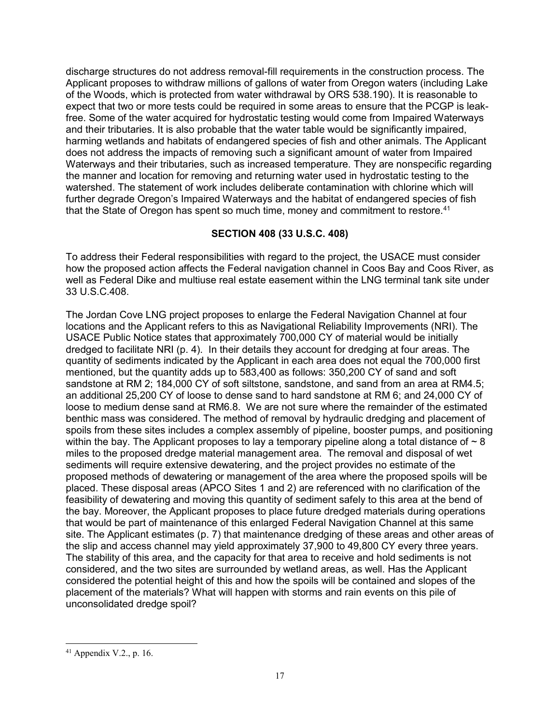discharge structures do not address removal-fill requirements in the construction process. The Applicant proposes to withdraw millions of gallons of water from Oregon waters (including Lake of the Woods, which is protected from water withdrawal by ORS 538.190). It is reasonable to expect that two or more tests could be required in some areas to ensure that the PCGP is leakfree. Some of the water acquired for hydrostatic testing would come from Impaired Waterways and their tributaries. It is also probable that the water table would be significantly impaired, harming wetlands and habitats of endangered species of fish and other animals. The Applicant does not address the impacts of removing such a significant amount of water from Impaired Waterways and their tributaries, such as increased temperature. They are nonspecific regarding the manner and location for removing and returning water used in hydrostatic testing to the watershed. The statement of work includes deliberate contamination with chlorine which will further degrade Oregon's Impaired Waterways and the habitat of endangered species of fish that the State of Oregon has spent so much time, money and commitment to restore.<sup>41</sup>

## **SECTION 408 (33 U.S.C. 408)**

To address their Federal responsibilities with regard to the project, the USACE must consider how the proposed action affects the Federal navigation channel in Coos Bay and Coos River, as well as Federal Dike and multiuse real estate easement within the LNG terminal tank site under 33 U.S.C.408.

The Jordan Cove LNG project proposes to enlarge the Federal Navigation Channel at four locations and the Applicant refers to this as Navigational Reliability Improvements (NRI). The USACE Public Notice states that approximately 700,000 CY of material would be initially dredged to facilitate NRI (p. 4). In their details they account for dredging at four areas. The quantity of sediments indicated by the Applicant in each area does not equal the 700,000 first mentioned, but the quantity adds up to 583,400 as follows: 350,200 CY of sand and soft sandstone at RM 2; 184,000 CY of soft siltstone, sandstone, and sand from an area at RM4.5; an additional 25,200 CY of loose to dense sand to hard sandstone at RM 6; and 24,000 CY of loose to medium dense sand at RM6.8. We are not sure where the remainder of the estimated benthic mass was considered. The method of removal by hydraulic dredging and placement of spoils from these sites includes a complex assembly of pipeline, booster pumps, and positioning within the bay. The Applicant proposes to lay a temporary pipeline along a total distance of  $\sim 8$ miles to the proposed dredge material management area. The removal and disposal of wet sediments will require extensive dewatering, and the project provides no estimate of the proposed methods of dewatering or management of the area where the proposed spoils will be placed. These disposal areas (APCO Sites 1 and 2) are referenced with no clarification of the feasibility of dewatering and moving this quantity of sediment safely to this area at the bend of the bay. Moreover, the Applicant proposes to place future dredged materials during operations that would be part of maintenance of this enlarged Federal Navigation Channel at this same site. The Applicant estimates (p. 7) that maintenance dredging of these areas and other areas of the slip and access channel may yield approximately 37,900 to 49,800 CY every three years. The stability of this area, and the capacity for that area to receive and hold sediments is not considered, and the two sites are surrounded by wetland areas, as well. Has the Applicant considered the potential height of this and how the spoils will be contained and slopes of the placement of the materials? What will happen with storms and rain events on this pile of unconsolidated dredge spoil?

 $41$  Appendix V.2., p. 16.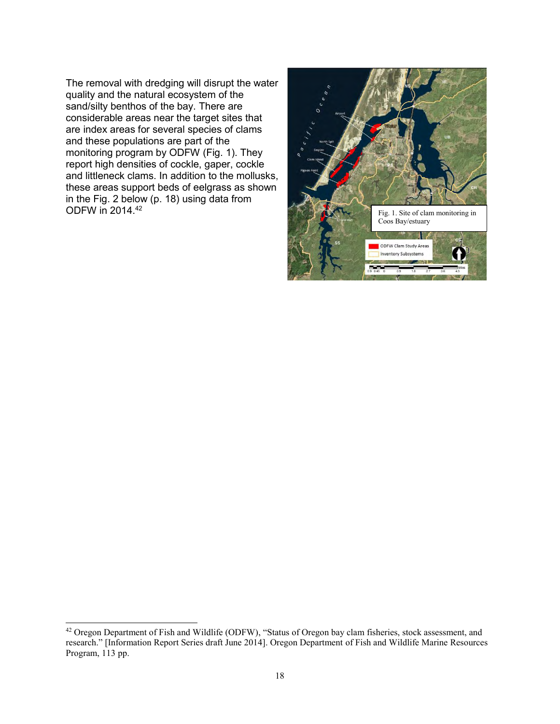The removal with dredging will disrupt the water quality and the natural ecosystem of the sand/silty benthos of the bay. There are considerable areas near the target sites that are index areas for several species of clams and these populations are part of the monitoring program by ODFW (Fig. 1). They report high densities of cockle, gaper, cockle and littleneck clams. In addition to the mollusks, these areas support beds of eelgrass as shown in the Fig. 2 below (p. 18) using data from ODFW in 2014.<sup>42</sup>



<sup>&</sup>lt;sup>42</sup> Oregon Department of Fish and Wildlife (ODFW), "Status of Oregon bay clam fisheries, stock assessment, and research." [Information Report Series draft June 2014]. Oregon Department of Fish and Wildlife Marine Resources Program, 113 pp.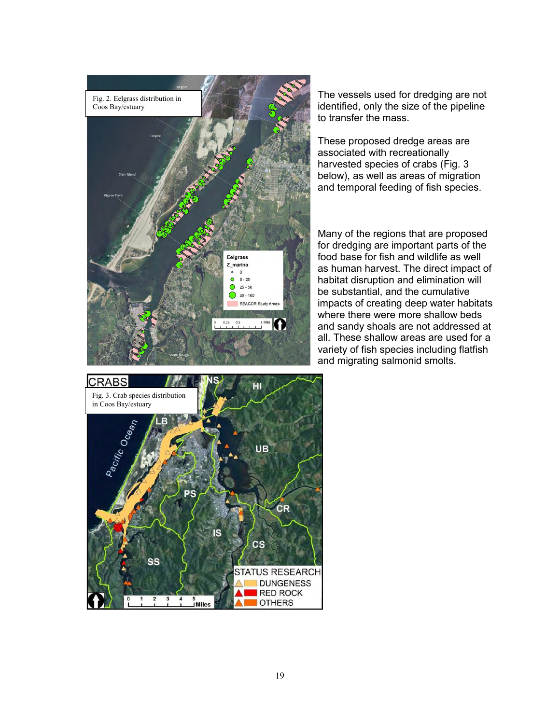

The vessels used for dredging are not identified, only the size of the pipeline to transfer the mass.

These proposed dredge areas are associated with recreationally harvested species of crabs (Fig. 3 below), as well as areas of migration and temporal feeding of fish species.

Many of the regions that are proposed for dredging are important parts of the food base for fish and wildlife as well as human harvest. The direct impact of habitat disruption and elimination will be substantial, and the cumulative impacts of creating deep water habitats where there were more shallow beds and sandy shoals are not addressed at all. These shallow areas are used for a variety of fish species including flatfish and migrating salmonid smolts.

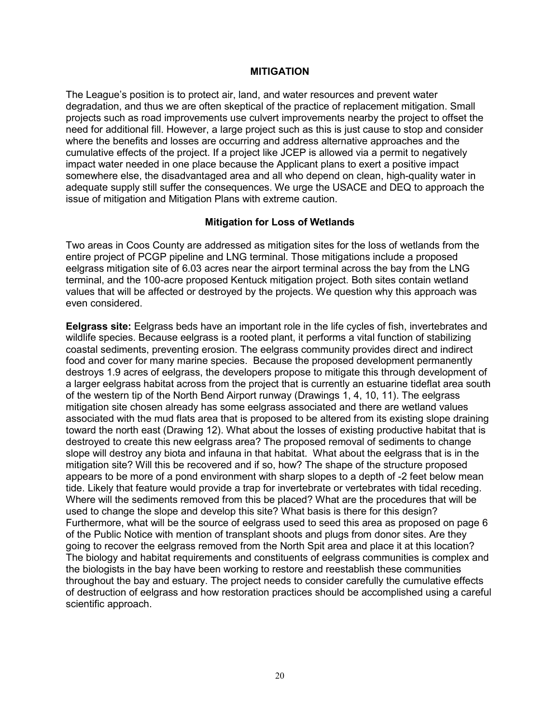#### **MITIGATION**

The League's position is to protect air, land, and water resources and prevent water degradation, and thus we are often skeptical of the practice of replacement mitigation. Small projects such as road improvements use culvert improvements nearby the project to offset the need for additional fill. However, a large project such as this is just cause to stop and consider where the benefits and losses are occurring and address alternative approaches and the cumulative effects of the project. If a project like JCEP is allowed via a permit to negatively impact water needed in one place because the Applicant plans to exert a positive impact somewhere else, the disadvantaged area and all who depend on clean, high-quality water in adequate supply still suffer the consequences. We urge the USACE and DEQ to approach the issue of mitigation and Mitigation Plans with extreme caution.

#### **Mitigation for Loss of Wetlands**

Two areas in Coos County are addressed as mitigation sites for the loss of wetlands from the entire project of PCGP pipeline and LNG terminal. Those mitigations include a proposed eelgrass mitigation site of 6.03 acres near the airport terminal across the bay from the LNG terminal, and the 100-acre proposed Kentuck mitigation project. Both sites contain wetland values that will be affected or destroyed by the projects. We question why this approach was even considered.

**Eelgrass site:** Eelgrass beds have an important role in the life cycles of fish, invertebrates and wildlife species. Because eelgrass is a rooted plant, it performs a vital function of stabilizing coastal sediments, preventing erosion. The eelgrass community provides direct and indirect food and cover for many marine species. Because the proposed development permanently destroys 1.9 acres of eelgrass, the developers propose to mitigate this through development of a larger eelgrass habitat across from the project that is currently an estuarine tideflat area south of the western tip of the North Bend Airport runway (Drawings 1, 4, 10, 11). The eelgrass mitigation site chosen already has some eelgrass associated and there are wetland values associated with the mud flats area that is proposed to be altered from its existing slope draining toward the north east (Drawing 12). What about the losses of existing productive habitat that is destroyed to create this new eelgrass area? The proposed removal of sediments to change slope will destroy any biota and infauna in that habitat. What about the eelgrass that is in the mitigation site? Will this be recovered and if so, how? The shape of the structure proposed appears to be more of a pond environment with sharp slopes to a depth of -2 feet below mean tide. Likely that feature would provide a trap for invertebrate or vertebrates with tidal receding. Where will the sediments removed from this be placed? What are the procedures that will be used to change the slope and develop this site? What basis is there for this design? Furthermore, what will be the source of eelgrass used to seed this area as proposed on page 6 of the Public Notice with mention of transplant shoots and plugs from donor sites. Are they going to recover the eelgrass removed from the North Spit area and place it at this location? The biology and habitat requirements and constituents of eelgrass communities is complex and the biologists in the bay have been working to restore and reestablish these communities throughout the bay and estuary. The project needs to consider carefully the cumulative effects of destruction of eelgrass and how restoration practices should be accomplished using a careful scientific approach.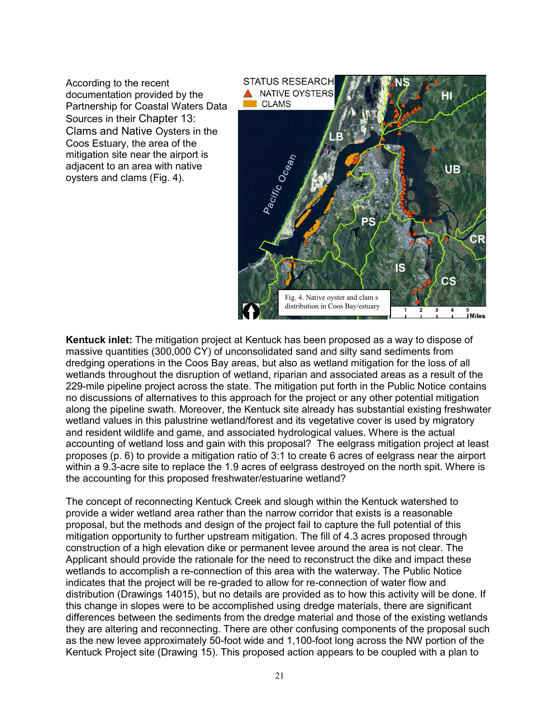According to the recent documentation provided by the Partnership for Coastal Waters Data Sources in their Chapter 13: Clams and Native Oysters in the Coos Estuary, the area of the mitigation site near the airport is adjacent to an area with native oysters and clams (Fig. 4).



**Kentuck inlet:** The mitigation project at Kentuck has been proposed as a way to dispose of massive quantities (300,000 CY) of unconsolidated sand and silty sand sediments from dredging operations in the Coos Bay areas, but also as wetland mitigation for the loss of all wetlands throughout the disruption of wetland, riparian and associated areas as a result of the 229-mile pipeline project across the state. The mitigation put forth in the Public Notice contains no discussions of alternatives to this approach for the project or any other potential mitigation along the pipeline swath. Moreover, the Kentuck site already has substantial existing freshwater wetland values in this palustrine wetland/forest and its vegetative cover is used by migratory and resident wildlife and game, and associated hydrological values. Where is the actual accounting of wetland loss and gain with this proposal? The eelgrass mitigation project at least proposes (p. 6) to provide a mitigation ratio of 3:1 to create 6 acres of eelgrass near the airport within a 9.3-acre site to replace the 1.9 acres of eelgrass destroyed on the north spit. Where is the accounting for this proposed freshwater/estuarine wetland?

The concept of reconnecting Kentuck Creek and slough within the Kentuck watershed to provide a wider wetland area rather than the narrow corridor that exists is a reasonable proposal, but the methods and design of the project fail to capture the full potential of this mitigation opportunity to further upstream mitigation. The fill of 4.3 acres proposed through construction of a high elevation dike or permanent levee around the area is not clear. The Applicant should provide the rationale for the need to reconstruct the dike and impact these wetlands to accomplish a re-connection of this area with the waterway. The Public Notice indicates that the project will be re-graded to allow for re-connection of water flow and distribution (Drawings 14015), but no details are provided as to how this activity will be done. If this change in slopes were to be accomplished using dredge materials, there are significant differences between the sediments from the dredge material and those of the existing wetlands they are altering and reconnecting. There are other confusing components of the proposal such as the new levee approximately 50-foot wide and 1,100-foot long across the NW portion of the Kentuck Project site (Drawing 15). This proposed action appears to be coupled with a plan to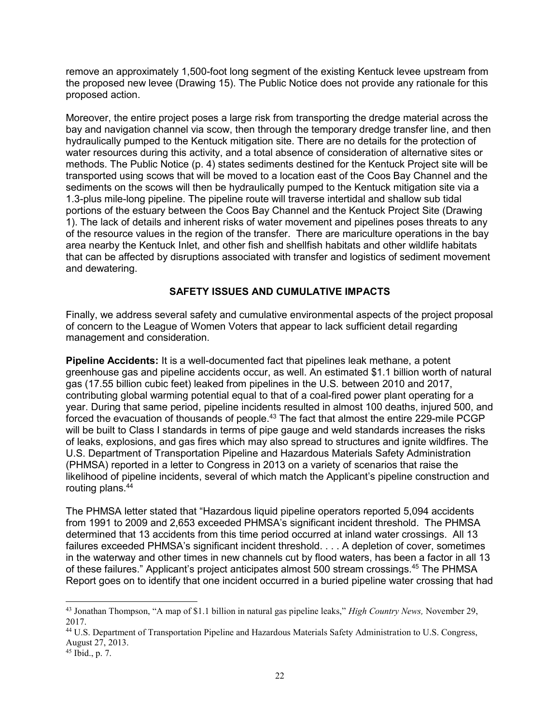remove an approximately 1,500-foot long segment of the existing Kentuck levee upstream from the proposed new levee (Drawing 15). The Public Notice does not provide any rationale for this proposed action.

Moreover, the entire project poses a large risk from transporting the dredge material across the bay and navigation channel via scow, then through the temporary dredge transfer line, and then hydraulically pumped to the Kentuck mitigation site. There are no details for the protection of water resources during this activity, and a total absence of consideration of alternative sites or methods. The Public Notice (p. 4) states sediments destined for the Kentuck Project site will be transported using scows that will be moved to a location east of the Coos Bay Channel and the sediments on the scows will then be hydraulically pumped to the Kentuck mitigation site via a 1.3-plus mile-long pipeline. The pipeline route will traverse intertidal and shallow sub tidal portions of the estuary between the Coos Bay Channel and the Kentuck Project Site (Drawing 1). The lack of details and inherent risks of water movement and pipelines poses threats to any of the resource values in the region of the transfer. There are mariculture operations in the bay area nearby the Kentuck Inlet, and other fish and shellfish habitats and other wildlife habitats that can be affected by disruptions associated with transfer and logistics of sediment movement and dewatering.

### **SAFETY ISSUES AND CUMULATIVE IMPACTS**

Finally, we address several safety and cumulative environmental aspects of the project proposal of concern to the League of Women Voters that appear to lack sufficient detail regarding management and consideration.

**Pipeline Accidents:** It is a well-documented fact that pipelines leak methane, a potent greenhouse gas and pipeline accidents occur, as well. An estimated \$1.1 billion worth of natural gas (17.55 billion cubic feet) leaked from pipelines in the U.S. between 2010 and 2017, contributing global warming potential equal to that of a coal-fired power plant operating for a year. During that same period, pipeline incidents resulted in almost 100 deaths, injured 500, and forced the evacuation of thousands of people.<sup>43</sup> The fact that almost the entire 229-mile PCGP will be built to Class I standards in terms of pipe gauge and weld standards increases the risks of leaks, explosions, and gas fires which may also spread to structures and ignite wildfires. The U.S. Department of Transportation Pipeline and Hazardous Materials Safety Administration (PHMSA) reported in a letter to Congress in 2013 on a variety of scenarios that raise the likelihood of pipeline incidents, several of which match the Applicant's pipeline construction and routing plans.<sup>44</sup>

The PHMSA letter stated that "Hazardous liquid pipeline operators reported 5,094 accidents from 1991 to 2009 and 2,653 exceeded PHMSA's significant incident threshold. The PHMSA determined that 13 accidents from this time period occurred at inland water crossings. All 13 failures exceeded PHMSA's significant incident threshold. . . . A depletion of cover, sometimes in the waterway and other times in new channels cut by flood waters, has been a factor in all 13 of these failures." Applicant's project anticipates almost 500 stream crossings.<sup>45</sup> The PHMSA Report goes on to identify that one incident occurred in a buried pipeline water crossing that had

<sup>43</sup> Jonathan Thompson, "A map of \$1.1 billion in natural gas pipeline leaks," *High Country News,* November 29, 2017.

<sup>44</sup> U.S. Department of Transportation Pipeline and Hazardous Materials Safety Administration to U.S. Congress, August 27, 2013.

 $45$  Ibid., p. 7.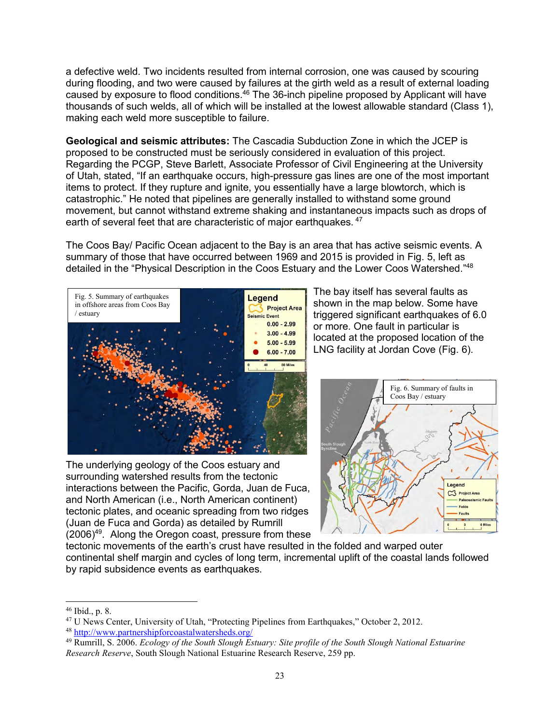a defective weld. Two incidents resulted from internal corrosion, one was caused by scouring during flooding, and two were caused by failures at the girth weld as a result of external loading caused by exposure to flood conditions.<sup>46</sup> The 36-inch pipeline proposed by Applicant will have thousands of such welds, all of which will be installed at the lowest allowable standard (Class 1), making each weld more susceptible to failure.

**Geological and seismic attributes:** The Cascadia Subduction Zone in which the JCEP is proposed to be constructed must be seriously considered in evaluation of this project. Regarding the PCGP, Steve Barlett, Associate Professor of Civil Engineering at the University of Utah, stated, "If an earthquake occurs, high-pressure gas lines are one of the most important items to protect. If they rupture and ignite, you essentially have a large blowtorch, which is catastrophic." He noted that pipelines are generally installed to withstand some ground movement, but cannot withstand extreme shaking and instantaneous impacts such as drops of earth of several feet that are characteristic of major earthquakes. <sup>47</sup>

The Coos Bay/ Pacific Ocean adjacent to the Bay is an area that has active seismic events. A summary of those that have occurred between 1969 and 2015 is provided in Fig. 5, left as detailed in the "Physical Description in the Coos Estuary and the Lower Coos Watershed."<sup>48</sup>



The underlying geology of the Coos estuary and surrounding watershed results from the tectonic interactions between the Pacific, Gorda, Juan de Fuca, and North American (i.e., North American continent) tectonic plates, and oceanic spreading from two ridges (Juan de Fuca and Gorda) as detailed by Rumrill (2006)<sup>49</sup>. Along the Oregon coast, pressure from these

The bay itself has several faults as shown in the map below. Some have triggered significant earthquakes of 6.0 or more. One fault in particular is located at the proposed location of the LNG facility at Jordan Cove (Fig. 6).



tectonic movements of the earth's crust have resulted in the folded and warped outer continental shelf margin and cycles of long term, incremental uplift of the coastal lands followed by rapid subsidence events as earthquakes.

<sup>46</sup> Ibid., p. 8.

<sup>47</sup> U News Center, University of Utah, "Protecting Pipelines from Earthquakes," October 2, 2012.

<sup>48</sup> <http://www.partnershipforcoastalwatersheds.org/>

<sup>49</sup> Rumrill, S. 2006. *Ecology of the South Slough Estuary: Site profile of the South Slough National Estuarine Research Reserve*, South Slough National Estuarine Research Reserve, 259 pp.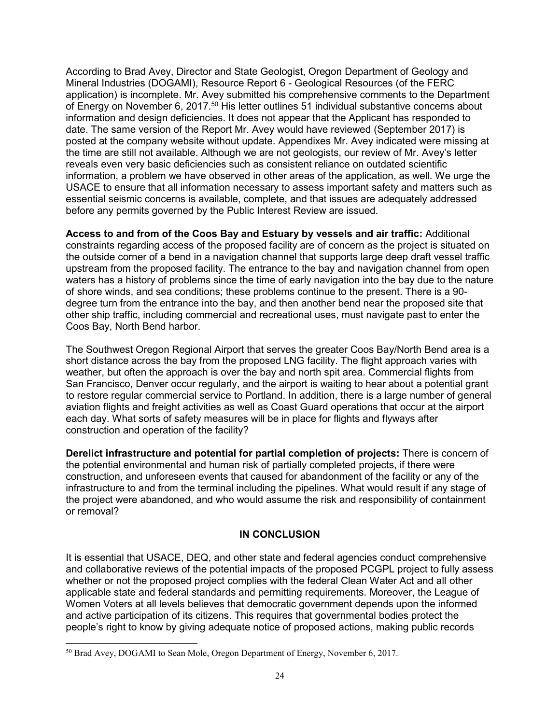According to Brad Avey, Director and State Geologist, Oregon Department of Geology and Mineral Industries (DOGAMI), Resource Report 6 - Geological Resources (of the FERC application) is incomplete. Mr. Avey submitted his comprehensive comments to the Department of Energy on November 6, 2017.<sup>50</sup> His letter outlines 51 individual substantive concerns about information and design deficiencies. It does not appear that the Applicant has responded to date. The same version of the Report Mr. Avey would have reviewed (September 2017) is posted at the company website without update. Appendixes Mr. Avey indicated were missing at the time are still not available. Although we are not geologists, our review of Mr. Avey's letter reveals even very basic deficiencies such as consistent reliance on outdated scientific information, a problem we have observed in other areas of the application, as well. We urge the USACE to ensure that all information necessary to assess important safety and matters such as essential seismic concerns is available, complete, and that issues are adequately addressed before any permits governed by the Public Interest Review are issued.

**Access to and from of the Coos Bay and Estuary by vessels and air traffic:** Additional constraints regarding access of the proposed facility are of concern as the project is situated on the outside corner of a bend in a navigation channel that supports large deep draft vessel traffic upstream from the proposed facility. The entrance to the bay and navigation channel from open waters has a history of problems since the time of early navigation into the bay due to the nature of shore winds, and sea conditions; these problems continue to the present. There is a 90 degree turn from the entrance into the bay, and then another bend near the proposed site that other ship traffic, including commercial and recreational uses, must navigate past to enter the Coos Bay, North Bend harbor.

The Southwest Oregon Regional Airport that serves the greater Coos Bay/North Bend area is a short distance across the bay from the proposed LNG facility. The flight approach varies with weather, but often the approach is over the bay and north spit area. Commercial flights from San Francisco, Denver occur regularly, and the airport is waiting to hear about a potential grant to restore regular commercial service to Portland. In addition, there is a large number of general aviation flights and freight activities as well as Coast Guard operations that occur at the airport each day. What sorts of safety measures will be in place for flights and flyways after construction and operation of the facility?

**Derelict infrastructure and potential for partial completion of projects:** There is concern of the potential environmental and human risk of partially completed projects, if there were construction, and unforeseen events that caused for abandonment of the facility or any of the infrastructure to and from the terminal including the pipelines. What would result if any stage of the project were abandoned, and who would assume the risk and responsibility of containment or removal?

### **IN CONCLUSION**

It is essential that USACE, DEQ, and other state and federal agencies conduct comprehensive and collaborative reviews of the potential impacts of the proposed PCGPL project to fully assess whether or not the proposed project complies with the federal Clean Water Act and all other applicable state and federal standards and permitting requirements. Moreover, the League of Women Voters at all levels believes that democratic government depends upon the informed and active participation of its citizens. This requires that governmental bodies protect the people's right to know by giving adequate notice of proposed actions, making public records

<sup>&</sup>lt;sup>50</sup> Brad Avey, DOGAMI to Sean Mole, Oregon Department of Energy, November 6, 2017.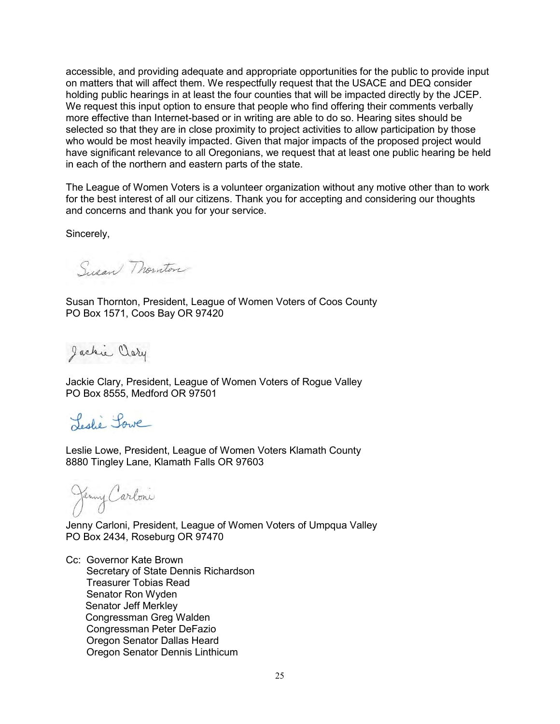accessible, and providing adequate and appropriate opportunities for the public to provide input on matters that will affect them. We respectfully request that the USACE and DEQ consider holding public hearings in at least the four counties that will be impacted directly by the JCEP. We request this input option to ensure that people who find offering their comments verbally more effective than Internet-based or in writing are able to do so. Hearing sites should be selected so that they are in close proximity to project activities to allow participation by those who would be most heavily impacted. Given that major impacts of the proposed project would have significant relevance to all Oregonians, we request that at least one public hearing be held in each of the northern and eastern parts of the state.

The League of Women Voters is a volunteer organization without any motive other than to work for the best interest of all our citizens. Thank you for accepting and considering our thoughts and concerns and thank you for your service.

Sincerely,

Susan Monston

Susan Thornton, President, League of Women Voters of Coos County PO Box 1571, Coos Bay OR 97420

Jackie Clary

Jackie Clary, President, League of Women Voters of Rogue Valley PO Box 8555, Medford OR 97501

Leslie Lowe

Leslie Lowe, President, League of Women Voters Klamath County 8880 Tingley Lane, Klamath Falls OR 97603

Jenny Carloni

Jenny Carloni, President, League of Women Voters of Umpqua Valley PO Box 2434, Roseburg OR 97470

Cc: Governor Kate Brown Secretary of State Dennis Richardson Treasurer Tobias Read Senator Ron Wyden Senator Jeff Merkley Congressman Greg Walden Congressman Peter DeFazio Oregon Senator Dallas Heard Oregon Senator Dennis Linthicum